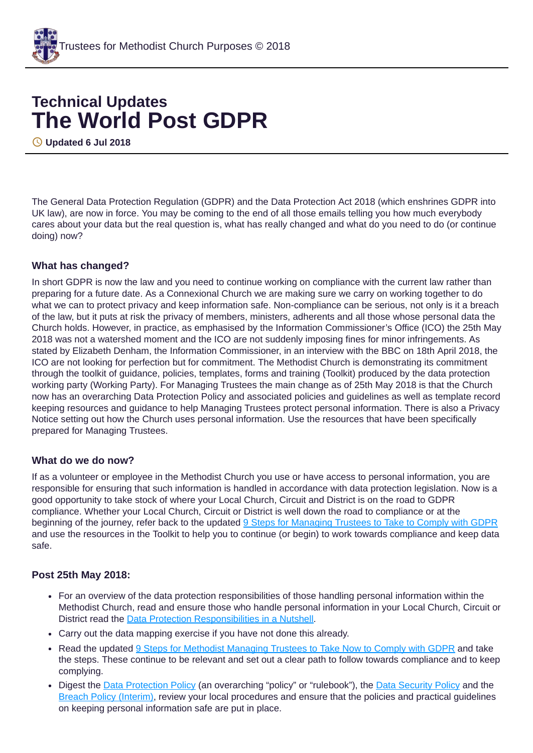

# **Technical Updates The World Post GDPR**

**Updated 6 Jul 2018**

The General Data Protection Regulation (GDPR) and the Data Protection Act 2018 (which enshrines GDPR into UK law), are now in force. You may be coming to the end of all those emails telling you how much everybody cares about your data but the real question is, what has really changed and what do you need to do (or continue doing) now?

## **What has changed?**

In short GDPR is now the law and you need to continue working on compliance with the current law rather than preparing for a future date. As a Connexional Church we are making sure we carry on working together to do what we can to protect privacy and keep information safe. Non-compliance can be serious, not only is it a breach of the law, but it puts at risk the privacy of members, ministers, adherents and all those whose personal data the Church holds. However, in practice, as emphasised by the Information Commissioner's Office (ICO) the 25th May 2018 was not a watershed moment and the ICO are not suddenly imposing fines for minor infringements. As stated by Elizabeth Denham, the Information Commissioner, in an interview with the BBC on 18th April 2018, the ICO are not looking for perfection but for commitment. The Methodist Church is demonstrating its commitment through the toolkit of guidance, policies, templates, forms and training (Toolkit) produced by the data protection working party (Working Party). For Managing Trustees the main change as of 25th May 2018 is that the Church now has an overarching Data Protection Policy and associated policies and guidelines as well as template record keeping resources and guidance to help Managing Trustees protect personal information. There is also a Privacy Notice setting out how the Church uses personal information. Use the resources that have been specifically prepared for Managing Trustees.

## **What do we do now?**

If as a volunteer or employee in the Methodist Church you use or have access to personal information, you are responsible for ensuring that such information is handled in accordance with data protection legislation. Now is a good opportunity to take stock of where your Local Church, Circuit and District is on the road to GDPR compliance. Whether your Local Church, Circuit or District is well down the road to compliance or at the beginning of the journey, refer back to the updated 9 Steps for [Managing](https://www.tmcp.org.uk/about/data-protection/resources/guidenotes/9-steps-gdpr) Trustees to Take to Comply with GDPR and use the resources in the Toolkit to help you to continue (or begin) to work towards compliance and keep data safe.

## **Post 25th May 2018:**

- For an overview of the data protection responsibilities of those handling personal information within the Methodist Church, read and ensure those who handle personal information in your Local Church, Circuit or District read the Data Protection [Responsibilities](https://www.tmcp.org.uk/kcfinder-uploads/files/data-protection-in-a-nutshell.pdf) in a Nutshell.
- Carry out the data mapping exercise if you have not done this already.
- Read the updated 9 Steps for Methodist [Managing](https://www.tmcp.org.uk/about/data-protection/resources/guidenotes/9-steps-gdpr) Trustees to Take Now to Comply with GDPR and take the steps. These continue to be relevant and set out a clear path to follow towards compliance and to keep complying.
- Digest the Data [Protection](https://www.tmcp.org.uk/about/data-protection/resources/trustee-documents/data-protection-policy) Policy (an overarching "policy" or "rulebook"), the Data [Security](https://www.tmcp.org.uk/about/data-protection/resources/trustee-documents/data-security-policy) Policy and the Breach Policy [\(Interim\)](https://www.tmcp.org.uk/about/data-protection/resources/trustee-documents/breach-policy), review your local procedures and ensure that the policies and practical guidelines on keeping personal information safe are put in place.